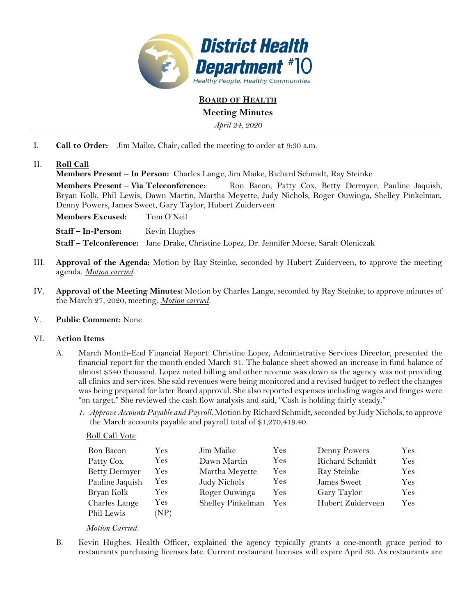

**BOARD OF HEALTH**

# **Meeting Minutes**

*April 24, 2020*

- I. **Call to Order:** Jim Maike, Chair, called the meeting to order at 9:30 a.m.
- II. **Roll Call**

**Members Present – In Person:** Charles Lange, Jim Maike, Richard Schmidt, Ray Steinke

**Members Present – Via Teleconference:** Ron Bacon, Patty Cox, Betty Dermyer, Pauline Jaquish, Bryan Kolk, Phil Lewis, Dawn Martin, Martha Meyette, Judy Nichols, Roger Ouwinga, Shelley Pinkelman, Denny Powers, James Sweet, Gary Taylor, Hubert Zuiderveen

**Members Excused:** Tom O'Neil

**Staff – In-Person:** Kevin Hughes

**Staff – Telconference:** Jane Drake, Christine Lopez, Dr. Jennifer Morse, Sarah Oleniczak

- III. **Approval of the Agenda:** Motion by Ray Steinke, seconded by Hubert Zuiderveen, to approve the meeting agenda. *Motion carried.*
- IV. **Approval of the Meeting Minutes:** Motion by Charles Lange, seconded by Ray Steinke, to approve minutes of the March 27, 2020, meeting. *Motion carried.*

## V. **Public Comment:** None

## VI. **Action Items**

- A. March Month-End Financial Report: Christine Lopez, Administrative Services Director, presented the financial report for the month ended March 31. The balance sheet showed an increase in fund balance of almost \$540 thousand. Lopez noted billing and other revenue was down as the agency was not providing all clinics and services. She said revenues were being monitored and a revised budget to reflect the changes was being prepared for later Board approval. She also reported expenses including wages and fringes were "on target." She reviewed the cash flow analysis and said, "Cash is holding fairly steady."
	- *1. Approve Accounts Payable and Payroll.* Motion by Richard Schmidt, seconded by Judy Nichols, to approve the March accounts payable and payroll total of \$1,270,419.40.

## Roll Call Vote

| Ron Bacon            | Yes  | Jim Maike         | Yes        | Denny Powers      | Yes        |
|----------------------|------|-------------------|------------|-------------------|------------|
| Patty Cox            | Yes  | Dawn Martin       | <b>Yes</b> | Richard Schmidt   | Yes        |
| <b>Betty Dermyer</b> | Yes  | Martha Meyette    | <b>Yes</b> | Ray Steinke       | Yes        |
| Pauline Jaquish      | Yes  | Judy Nichols      | Yes        | James Sweet       | <b>Yes</b> |
| Bryan Kolk           | Yes  | Roger Ouwinga     | Yes        | Gary Taylor       | Yes        |
| Charles Lange        | Yes  | Shelley Pinkelman | Yes        | Hubert Zuiderveen | Yes        |
| Phil Lewis           | (NP) |                   |            |                   |            |

## *Motion Carried.*

B. Kevin Hughes, Health Officer, explained the agency typically grants a one-month grace period to restaurants purchasing licenses late. Current restaurant licenses will expire April 30. As restaurants are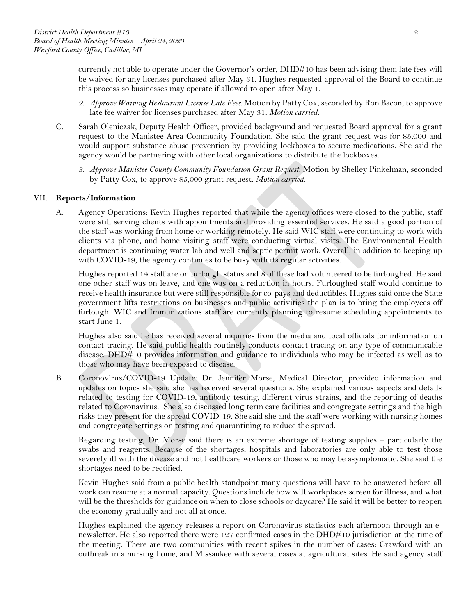currently not able to operate under the Governor's order, DHD#10 has been advising them late fees will be waived for any licenses purchased after May 31. Hughes requested approval of the Board to continue this process so businesses may operate if allowed to open after May 1.

- *2. Approve Waiving Restaurant License Late Fees.* Motion by Patty Cox, seconded by Ron Bacon, to approve late fee waiver for licenses purchased after May 31. *Motion carried.*
- C. Sarah Oleniczak, Deputy Health Officer, provided background and requested Board approval for a grant request to the Manistee Area Community Foundation. She said the grant request was for \$5,000 and would support substance abuse prevention by providing lockboxes to secure medications. She said the agency would be partnering with other local organizations to distribute the lockboxes.
	- *3. Approve Manistee County Community Foundation Grant Request*. Motion by Shelley Pinkelman, seconded by Patty Cox, to approve \$5,000 grant request. *Motion carried.*

#### VII. **Reports/Information**

A. Agency Operations: Kevin Hughes reported that while the agency offices were closed to the public, staff were still serving clients with appointments and providing essential services. He said a good portion of the staff was working from home or working remotely. He said WIC staff were continuing to work with clients via phone, and home visiting staff were conducting virtual visits. The Environmental Health department is continuing water lab and well and septic permit work. Overall, in addition to keeping up with COVID-19, the agency continues to be busy with its regular activities.

Hughes reported 14 staff are on furlough status and 8 of these had volunteered to be furloughed. He said one other staff was on leave, and one was on a reduction in hours. Furloughed staff would continue to receive health insurance but were still responsible for co-pays and deductibles. Hughes said once the State government lifts restrictions on businesses and public activities the plan is to bring the employees off furlough. WIC and Immunizations staff are currently planning to resume scheduling appointments to start June 1.

Hughes also said he has received several inquiries from the media and local officials for information on contact tracing. He said public health routinely conducts contact tracing on any type of communicable disease. DHD#10 provides information and guidance to individuals who may be infected as well as to those who may have been exposed to disease.

B. Coronovirus/COVID-19 Update: Dr. Jennifer Morse, Medical Director, provided information and updates on topics she said she has received several questions. She explained various aspects and details related to testing for COVID-19, antibody testing, different virus strains, and the reporting of deaths related to Coronavirus. She also discussed long term care facilities and congregate settings and the high risks they present for the spread COVID-19. She said she and the staff were working with nursing homes and congregate settings on testing and quarantining to reduce the spread.

Regarding testing, Dr. Morse said there is an extreme shortage of testing supplies – particularly the swabs and reagents. Because of the shortages, hospitals and laboratories are only able to test those severely ill with the disease and not healthcare workers or those who may be asymptomatic. She said the shortages need to be rectified.

Kevin Hughes said from a public health standpoint many questions will have to be answered before all work can resume at a normal capacity. Questions include how will workplaces screen for illness, and what will be the thresholds for guidance on when to close schools or daycare? He said it will be better to reopen the economy gradually and not all at once.

Hughes explained the agency releases a report on Coronavirus statistics each afternoon through an enewsletter. He also reported there were 127 confirmed cases in the DHD#10 jurisdiction at the time of the meeting. There are two communities with recent spikes in the number of cases: Crawford with an outbreak in a nursing home, and Missaukee with several cases at agricultural sites. He said agency staff